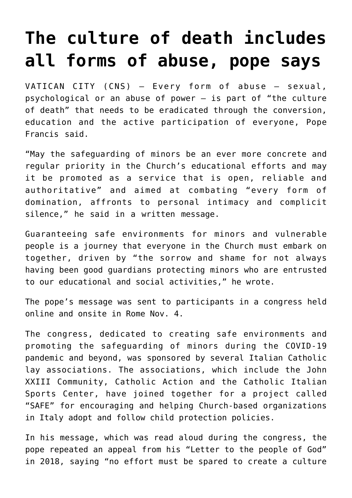## **[The culture of death includes](https://www.osvnews.com/2021/11/04/the-culture-of-death-includes-all-forms-of-abuse-pope-says/) [all forms of abuse, pope says](https://www.osvnews.com/2021/11/04/the-culture-of-death-includes-all-forms-of-abuse-pope-says/)**

VATICAN CITY (CNS) — Every form of abuse — sexual, psychological or an abuse of power — is part of "the culture of death" that needs to be eradicated through the conversion, education and the active participation of everyone, Pope Francis said.

"May the safeguarding of minors be an ever more concrete and regular priority in the Church's educational efforts and may it be promoted as a service that is open, reliable and authoritative" and aimed at combating "every form of domination, affronts to personal intimacy and complicit silence," he said in a written message.

Guaranteeing safe environments for minors and vulnerable people is a journey that everyone in the Church must embark on together, driven by "the sorrow and shame for not always having been good guardians protecting minors who are entrusted to our educational and social activities," he wrote.

The pope's message was sent to participants in a congress held online and onsite in Rome Nov. 4.

The congress, dedicated to creating safe environments and promoting the safeguarding of minors during the COVID-19 pandemic and beyond, was sponsored by several Italian Catholic lay associations. The associations, which include the John XXIII Community, Catholic Action and the Catholic Italian Sports Center, have joined together for a project called "SAFE" for encouraging and helping Church-based organizations in Italy adopt and follow child protection policies.

In his message, which was read aloud during the congress, the pope repeated an appeal from his "Letter to the people of God" in 2018, saying "no effort must be spared to create a culture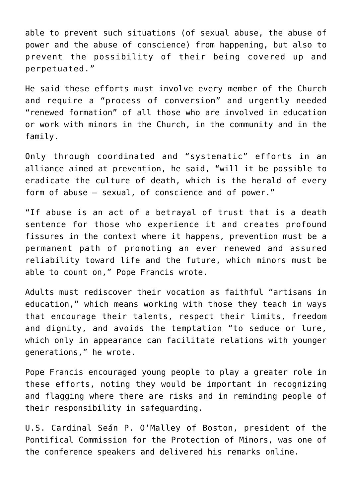able to prevent such situations (of sexual abuse, the abuse of power and the abuse of conscience) from happening, but also to prevent the possibility of their being covered up and perpetuated."

He said these efforts must involve every member of the Church and require a "process of conversion" and urgently needed "renewed formation" of all those who are involved in education or work with minors in the Church, in the community and in the family.

Only through coordinated and "systematic" efforts in an alliance aimed at prevention, he said, "will it be possible to eradicate the culture of death, which is the herald of every form of abuse — sexual, of conscience and of power."

"If abuse is an act of a betrayal of trust that is a death sentence for those who experience it and creates profound fissures in the context where it happens, prevention must be a permanent path of promoting an ever renewed and assured reliability toward life and the future, which minors must be able to count on," Pope Francis wrote.

Adults must rediscover their vocation as faithful "artisans in education," which means working with those they teach in ways that encourage their talents, respect their limits, freedom and dignity, and avoids the temptation "to seduce or lure, which only in appearance can facilitate relations with younger generations," he wrote.

Pope Francis encouraged young people to play a greater role in these efforts, noting they would be important in recognizing and flagging where there are risks and in reminding people of their responsibility in safeguarding.

U.S. Cardinal Seán P. O'Malley of Boston, president of the Pontifical Commission for the Protection of Minors, was one of the conference speakers and delivered his remarks online.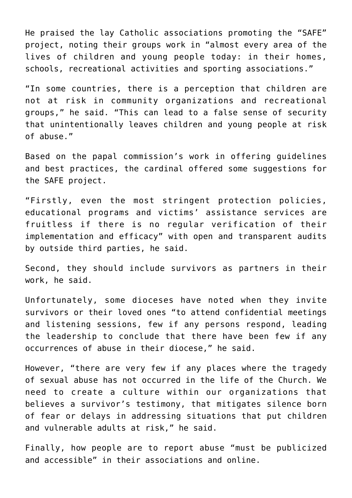He praised the lay Catholic associations promoting the "SAFE" project, noting their groups work in "almost every area of the lives of children and young people today: in their homes, schools, recreational activities and sporting associations."

"In some countries, there is a perception that children are not at risk in community organizations and recreational groups," he said. "This can lead to a false sense of security that unintentionally leaves children and young people at risk of abuse."

Based on the papal commission's work in offering guidelines and best practices, the cardinal offered some suggestions for the SAFE project.

"Firstly, even the most stringent protection policies, educational programs and victims' assistance services are fruitless if there is no regular verification of their implementation and efficacy" with open and transparent audits by outside third parties, he said.

Second, they should include survivors as partners in their work, he said.

Unfortunately, some dioceses have noted when they invite survivors or their loved ones "to attend confidential meetings and listening sessions, few if any persons respond, leading the leadership to conclude that there have been few if any occurrences of abuse in their diocese," he said.

However, "there are very few if any places where the tragedy of sexual abuse has not occurred in the life of the Church. We need to create a culture within our organizations that believes a survivor's testimony, that mitigates silence born of fear or delays in addressing situations that put children and vulnerable adults at risk," he said.

Finally, how people are to report abuse "must be publicized and accessible" in their associations and online.